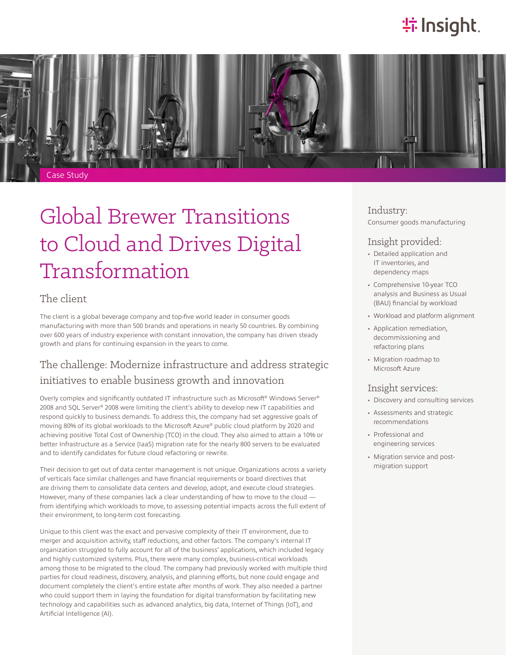## **特Insight**



# Global Brewer Transitions to Cloud and Drives Digital Transformation

#### The client

The client is a global beverage company and top-five world leader in consumer goods manufacturing with more than 500 brands and operations in nearly 50 countries. By combining over 600 years of industry experience with constant innovation, the company has driven steady growth and plans for continuing expansion in the years to come.

## The challenge: Modernize infrastructure and address strategic initiatives to enable business growth and innovation

Overly complex and significantly outdated IT infrastructure such as Microsoft® Windows Server® 2008 and SQL Server® 2008 were limiting the client's ability to develop new IT capabilities and respond quickly to business demands. To address this, the company had set aggressive goals of moving 80% of its global workloads to the Microsoft Azure® public cloud platform by 2020 and achieving positive Total Cost of Ownership (TCO) in the cloud. They also aimed to attain a 10% or better Infrastructure as a Service (IaaS) migration rate for the nearly 800 servers to be evaluated and to identify candidates for future cloud refactoring or rewrite.

Their decision to get out of data center management is not unique. Organizations across a variety of verticals face similar challenges and have financial requirements or board directives that are driving them to consolidate data centers and develop, adopt, and execute cloud strategies. However, many of these companies lack a clear understanding of how to move to the cloud from identifying which workloads to move, to assessing potential impacts across the full extent of their environment, to long-term cost forecasting.

Unique to this client was the exact and pervasive complexity of their IT environment, due to merger and acquisition activity, staff reductions, and other factors. The company's internal IT organization struggled to fully account for all of the business' applications, which included legacy and highly customized systems. Plus, there were many complex, business-critical workloads among those to be migrated to the cloud. The company had previously worked with multiple third parties for cloud readiness, discovery, analysis, and planning efforts, but none could engage and document completely the client's entire estate after months of work. They also needed a partner who could support them in laying the foundation for digital transformation by facilitating new technology and capabilities such as advanced analytics, big data, Internet of Things (IoT), and Artificial Intelligence (AI).

### Industry:

Consumer goods manufacturing

#### Insight provided:

- Detailed application and IT inventories, and dependency maps
- Comprehensive 10-year TCO analysis and Business as Usual (BAU) financial by workload
- Workload and platform alignment
- Application remediation, decommissioning and refactoring plans
- Migration roadmap to Microsoft Azure

#### Insight services:

- Discovery and consulting services
- Assessments and strategic recommendations
- Professional and engineering services
- Migration service and postmigration support